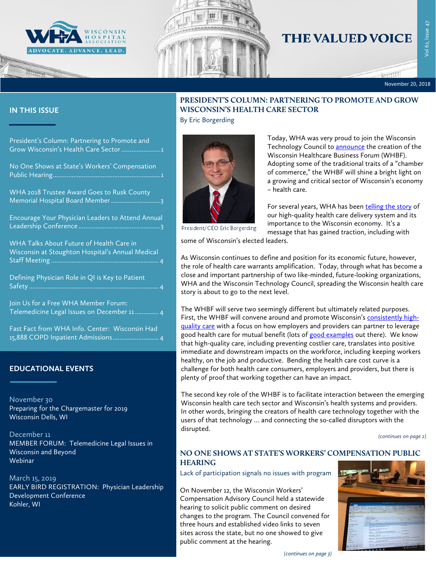

## **THE VALUED VOICE**

November 20, 2018

#### **IN THIS ISSUE**

[President's Column: Partnering to Promote and](#page-0-0)  Grow Wisconsin's Health Care Sector......................1

[No One Shows at State's Workers' Compensation](#page-0-1)  [Public Hearing...............................................................1](#page-0-1)

[WHA 2018 Trustee Award Goes to Rusk County](#page-2-0)  [Memorial Hospital Board Member.............................3](#page-2-0)

[Encourage Your Physician Leaders to Attend Annual](#page-2-1)  Leadership Conference [................................................3](#page-2-1)

[WHA Talks About Future of Health Care in](#page-3-0)  [Wisconsin at Stoughton Hospital's Annual Medical](#page-3-0)  Staff Meeting [...............................................................](#page-3-0) 4

[Defining Physician Role in QI is Key to Patient](#page-3-1)  Safety [............................................................................](#page-3-1) 4

[Join Us for a Free WHA Member Forum:](#page-3-2)  Telemedicine [Legal Issues on December 11..............](#page-3-2) 4

[Fast Fact from WHA Info. Center: Wisconsin Had](#page-3-3)  [15,888 COPD Inpatient Admissions...........................](#page-3-3) 4

#### **EDUCATIONAL EVENTS**

November 30 [Preparing for the Chargemaster for 2019](http://www.cvent.com/events/18l-chargemaster-1130/event-summary-52377b96df1f4e7e85f296ae5dbc59db.aspx) [Wisconsin Dells, WI](http://www.cvent.com/events/18l-chargemaster-1130/event-summary-52377b96df1f4e7e85f296ae5dbc59db.aspx)

[December 11](http://www.whareg4.org/Telemed1211/) [MEMBER FORUM: Telemedicine Legal Issues in](http://www.whareg4.org/Telemed1211/)  [Wisconsin and Beyond](http://www.whareg4.org/Telemed1211/) [Webinar](http://www.whareg4.org/Telemed1211/)

March 15, 2019 [EARLY BIRD REGISTRATION: Physician Leadership](http://www.cvent.com/events/19l-pldc-03-15-16/event-summary-cce6c95196974bcc87660b15b6e87c43.aspx)  [Development Conference](http://www.cvent.com/events/19l-pldc-03-15-16/event-summary-cce6c95196974bcc87660b15b6e87c43.aspx) Kohler, WI

### <span id="page-0-0"></span>**PRESIDENT'S COLUMN: PARTNERING TO PROMOTE AND GROW WISCONSIN'S HEALTH CARE SECTOR**

By Eric Borgerding



Today, WHA was very proud to join the Wisconsin Technology Council to [announce](https://www.wha.org/WisconsinHospitalAssociation/media/NewsRelease/2018PDF/WIHealthcareBusinessForumAimstoConnectBusinesseswithHealthProviders-11-20-18.pdf) the creation of the Wisconsin Healthcare Business Forum (WHBF). Adopting some of the traditional traits of a "chamber of commerce," the WHBF will shine a bright light on a growing and critical sector of Wisconsin's economy – health care.

For several years, WHA has been [telling the story](https://www.wha.org/HealthCareTopics/H/Hospital-Employer-Partnerships) of our high-quality health care delivery system and its importance to the Wisconsin economy. It's a message that has gained traction, including with

President/CEO Eric Borgerding

some of Wisconsin's elected leaders.

As Wisconsin continues to define and position for its economic future, however, the role of health care warrants amplification. Today, through what has become a close and important partnership of two like-minded, future-looking organizations, WHA and the Wisconsin Technology Council, spreading the Wisconsin health care story is about to go to the next level.

The WHBF will serve two seemingly different but ultimately related purposes. First, the WHBF will convene around and promote Wisconsin's [consistently high](https://www.wha.org/WisconsinHospitalAssociation/media/NewsRelease/2018PDF/WHArelease-AHRQrankings_09-24-2018.pdf)[quality care](https://www.wha.org/WisconsinHospitalAssociation/media/NewsRelease/2018PDF/WHArelease-AHRQrankings_09-24-2018.pdf) with a focus on how employers and providers can partner to leverage good health care for mutual benefit (lots of [good examples](https://www.wha.org/HealthCareTopics/H/Hospital-Employer-Partnerships) out there). We know that high-quality care, including preventing costlier care, translates into positive immediate and downstream impacts on the workforce, including keeping workers healthy, on the job and productive. Bending the health care cost curve is a challenge for both health care consumers, employers and providers, but there is plenty of proof that working together can have an impact.

The second key role of the WHBF is to facilitate interaction between the emerging Wisconsin health care tech sector and Wisconsin's health systems and providers. In other words, bringing the creators of health care technology together with the users of that technology … and connecting the so-called disruptors with the disrupted.

*(continues on page 2)*

#### <span id="page-0-1"></span>**NO ONE SHOWS AT STATE'S WORKERS' COMPENSATION PUBLIC HEARING**

Lack of participation signals no issues with program

On November 12, the Wisconsin Workers' Compensation Advisory Council held a statewide hearing to solicit public comment on desired changes to the program. The Council convened for three hours and established video links to seven sites across the state, but no one showed to give public comment at the hearing.



*(continues on page 3)*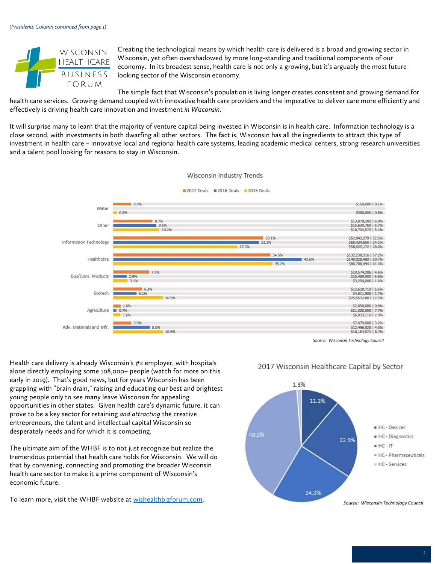

Creating the technological means by which health care is delivered is a broad and growing sector in Wisconsin, yet often overshadowed by more long-standing and traditional components of our economy. In its broadest sense, health care is not only a growing, but it's arguably the most futurelooking sector of the Wisconsin economy.

The simple fact that Wisconsin's population is living longer creates consistent and growing demand for health care services. Growing demand coupled with innovative health care providers and the imperative to deliver care more efficiently and effectively is driving health care innovation and investment *in Wisconsin*.

It will surprise many to learn that the majority of venture capital being invested in Wisconsin is in health care. Information technology is a close second, with investments in both dwarfing all other sectors. The fact is, Wisconsin has all the ingredients to attract this type of investment in health care – innovative local and regional health care systems, leading academic medical centers, strong research universities and a talent pool looking for reasons to stay in Wisconsin.



Source: Wisconsin Technology Council

Health care delivery is already Wisconsin's #2 employer, with hospitals alone directly employing some 108,000+ people (watch for more on this early in 2019). That's good news, but for years Wisconsin has been grappling with "brain drain," raising and educating our best and brightest young people only to see many leave Wisconsin for appealing opportunities in other states. Given health care's dynamic future, it can prove to be a key sector for retaining *and attracting* the creative entrepreneurs, the talent and intellectual capital Wisconsin so desperately needs and for which it is competing.

The ultimate aim of the WHBF is to not just recognize but realize the tremendous potential that health care holds for Wisconsin. We will do that by convening, connecting and promoting the broader Wisconsin health care sector to make it a prime component of Wisconsin's economic future.

To learn more, visit the WHBF website at [wishealthbizforum.com.](https://wishealthbizforum.com/)



#### 2017 Wisconsin Healthcare Capital by Sector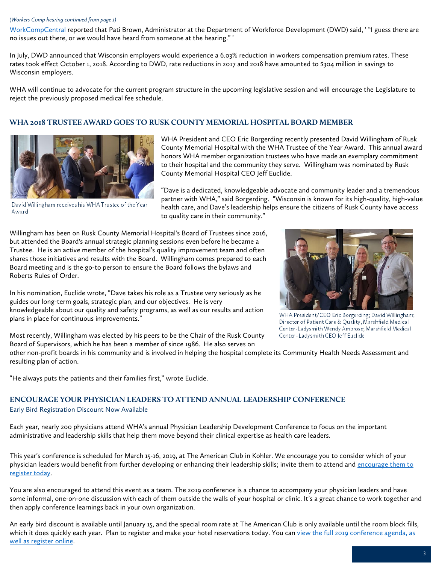#### *(Workers Comp hearing continued from page 1)*

[WorkCompCentral](https://www.workcompcentral.com/news/article/id/79aef96214cb794432513c207346694257a7ea72) reported that Pati Brown, Administrator at the Department of Workforce Development (DWD) said, ' "I guess there are no issues out there, or we would have heard from someone at the hearing." '

In July, DWD announced that Wisconsin employers would experience a 6.03% reduction in workers compensation premium rates. These rates took effect October 1, 2018. According to DWD, rate reductions in 2017 and 2018 have amounted to \$304 million in savings to Wisconsin employers.

WHA will continue to advocate for the current program structure in the upcoming legislative session and will encourage the Legislature to reject the previously proposed medical fee schedule.

#### <span id="page-2-0"></span>**WHA 2018 TRUSTEE AWARD GOES TO RUSK COUNTY MEMORIAL HOSPITAL BOARD MEMBER**



WHA President and CEO Eric Borgerding recently presented David Willingham of Rusk County Memorial Hospital with the WHA Trustee of the Year Award. This annual award honors WHA member organization trustees who have made an exemplary commitment to their hospital and the community they serve. Willingham was nominated by Rusk County Memorial Hospital CEO Jeff Euclide.

David Willingham receives his WHA Trustee of the Year Award

"Dave is a dedicated, knowledgeable advocate and community leader and a tremendous partner with WHA," said Borgerding. "Wisconsin is known for its high-quality, high-value health care, and Dave's leadership helps ensure the citizens of Rusk County have access to quality care in their community."

Willingham has been on Rusk County Memorial Hospital's Board of Trustees since 2016, but attended the Board's annual strategic planning sessions even before he became a Trustee. He is an active member of the hospital's quality improvement team and often shares those initiatives and results with the Board. Willingham comes prepared to each Board meeting and is the go-to person to ensure the Board follows the bylaws and Roberts Rules of Order.

In his nomination, Euclide wrote, "Dave takes his role as a Trustee very seriously as he guides our long-term goals, strategic plan, and our objectives. He is very knowledgeable about our quality and safety programs, as well as our results and action plans in place for continuous improvements."



WHA President/CEO Eric Borgerding; David Willingham; Director of Patient Care & Quality, Marshfield Medical Center-Ladysmith Wendy Ambrose; Marshfield Medical Center-Ladysmith CEO Jeff Euclide

Most recently, Willingham was elected by his peers to be the Chair of the Rusk County Board of Supervisors, which he has been a member of since 1986. He also serves on

other non-profit boards in his community and is involved in helping the hospital complete its Community Health Needs Assessment and resulting plan of action.

"He always puts the patients and their families first," wrote Euclide.

#### <span id="page-2-1"></span>**ENCOURAGE YOUR PHYSICIAN LEADERS TO ATTEND ANNUAL LEADERSHIP CONFERENCE**

#### Early Bird Registration Discount Now Available

Each year, nearly 200 physicians attend WHA's annual Physician Leadership Development Conference to focus on the important administrative and leadership skills that help them move beyond their clinical expertise as health care leaders.

This year's conference is scheduled for March 15-16, 2019, at The American Club in Kohler. We encourage you to consider which of your physician leaders would benefit from further developing or enhancing their leadership skills; invite them to attend and encourage them to [register today.](http://www.cvent.com/events/19l-pldc-03-15-16/event-summary-cce6c95196974bcc87660b15b6e87c43.aspx)

You are also encouraged to attend this event as a team. The 2019 conference is a chance to accompany your physician leaders and have some informal, one-on-one discussion with each of them outside the walls of your hospital or clinic. It's a great chance to work together and then apply conference learnings back in your own organization.

An early bird discount is available until January 15, and the special room rate at The American Club is only available until the room block fills, which it does quickly each year. Plan to register and make your hotel reservations today. You can view the full 2019 conference agenda, as [well as register online.](http://www.cvent.com/events/19l-pldc-03-15-16/event-summary-cce6c95196974bcc87660b15b6e87c43.aspx)